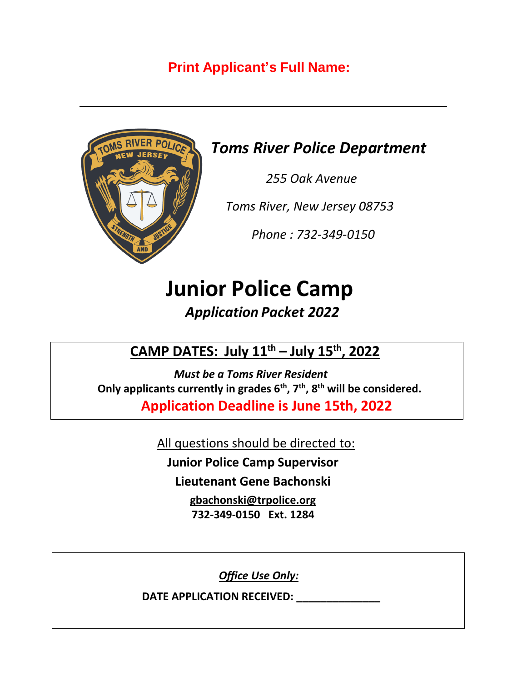## **Print Applicant's Full Name:**



## *Toms River Police Department*

 *255 Oak Avenue*

 *Toms River, New Jersey 08753*

 *Phone : 732-349-0150*

# **Junior Police Camp**

## *Application Packet 2022*

 **CAMP DATES: July 11 th – July 15 th, 2022**

*Must be a Toms River Resident*  **Only applicants currently in grades 6th, 7th, 8th will be considered. Application Deadline is June 15th, 2022**

All questions should be directed to:

**Junior Police Camp Supervisor**

**Lieutenant Gene Bachonski**

**[gbachonski@trpolice.org](mailto:gbachonski@trpolice.org) 732-349-0150 Ext. 1284**

*Office Use Only:*

**DATE APPLICATION RECEIVED: \_\_\_\_\_\_\_\_\_\_\_\_\_\_**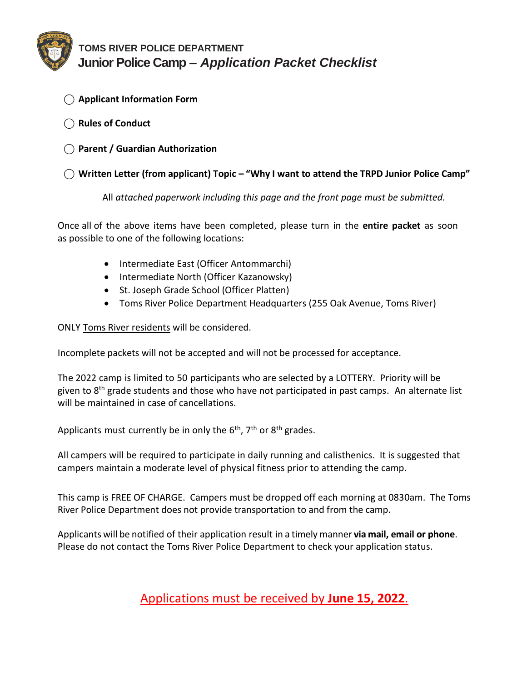

#### **TOMS RIVER POLICE DEPARTMENT Junior Police Camp –** *Application Packet Checklist*

- ⃝ **Applicant Information Form**
- ⃝ **Rules of Conduct**
- ⃝ **Parent / Guardian Authorization**

#### ⃝ **Written Letter (from applicant) Topic – "Why I want to attend the TRPD Junior Police Camp"**

All *attached paperwork including this page and the front page must be submitted.*

Once all of the above items have been completed, please turn in the **entire packet** as soon as possible to one of the following locations:

- Intermediate East (Officer Antommarchi)
- Intermediate North (Officer Kazanowsky)
- St. Joseph Grade School (Officer Platten)
- Toms River Police Department Headquarters (255 Oak Avenue, Toms River)

ONLY Toms River residents will be considered.

Incomplete packets will not be accepted and will not be processed for acceptance.

The 2022 camp is limited to 50 participants who are selected by a LOTTERY. Priority will be given to 8<sup>th</sup> grade students and those who have not participated in past camps. An alternate list will be maintained in case of cancellations.

Applicants must currently be in only the  $6<sup>th</sup>$ ,  $7<sup>th</sup>$  or  $8<sup>th</sup>$  grades.

All campers will be required to participate in daily running and calisthenics. It is suggested that campers maintain a moderate level of physical fitness prior to attending the camp.

This camp is FREE OF CHARGE. Campers must be dropped off each morning at 0830am. The Toms River Police Department does not provide transportation to and from the camp.

Applicants will be notified of their application result in a timely manner **via mail, email or phone**. Please do not contact the Toms River Police Department to check your application status.

### Applications must be received by **June 15, 2022**.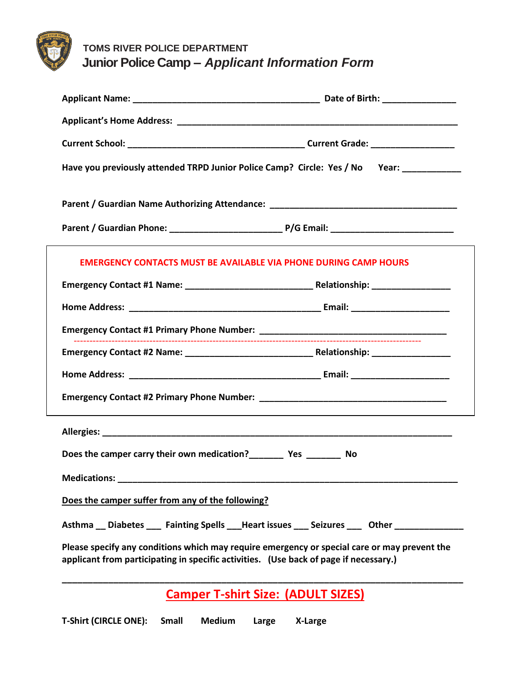

 **TOMS RIVER POLICE DEPARTMENT Junior Police Camp –** *Applicant Information Form*

|                                                                                                                                                                                       | Have you previously attended TRPD Junior Police Camp? Circle: Yes / No Year: __________                                                                                                                                        |  |  |  |
|---------------------------------------------------------------------------------------------------------------------------------------------------------------------------------------|--------------------------------------------------------------------------------------------------------------------------------------------------------------------------------------------------------------------------------|--|--|--|
|                                                                                                                                                                                       | Parent / Guardian Name Authorizing Attendance: Name of the Control of the Control of the Control of the Control of the Control of the Control of the Control of the Control of the Control of the Control of the Control of th |  |  |  |
|                                                                                                                                                                                       |                                                                                                                                                                                                                                |  |  |  |
| <b>EMERGENCY CONTACTS MUST BE AVAILABLE VIA PHONE DURING CAMP HOURS</b>                                                                                                               |                                                                                                                                                                                                                                |  |  |  |
|                                                                                                                                                                                       |                                                                                                                                                                                                                                |  |  |  |
|                                                                                                                                                                                       |                                                                                                                                                                                                                                |  |  |  |
|                                                                                                                                                                                       |                                                                                                                                                                                                                                |  |  |  |
|                                                                                                                                                                                       |                                                                                                                                                                                                                                |  |  |  |
|                                                                                                                                                                                       |                                                                                                                                                                                                                                |  |  |  |
|                                                                                                                                                                                       |                                                                                                                                                                                                                                |  |  |  |
|                                                                                                                                                                                       |                                                                                                                                                                                                                                |  |  |  |
|                                                                                                                                                                                       |                                                                                                                                                                                                                                |  |  |  |
| Medications: _________                                                                                                                                                                |                                                                                                                                                                                                                                |  |  |  |
| Does the camper suffer from any of the following?                                                                                                                                     |                                                                                                                                                                                                                                |  |  |  |
|                                                                                                                                                                                       | Asthma __ Diabetes ____ Fainting Spells ___Heart issues ____ Seizures ____ Other _____________                                                                                                                                 |  |  |  |
| Please specify any conditions which may require emergency or special care or may prevent the<br>applicant from participating in specific activities. (Use back of page if necessary.) |                                                                                                                                                                                                                                |  |  |  |
| <b>Camper T-shirt Size: (ADULT SIZES)</b>                                                                                                                                             |                                                                                                                                                                                                                                |  |  |  |

**T-Shirt (CIRCLE ONE): Small Medium Large X-Large**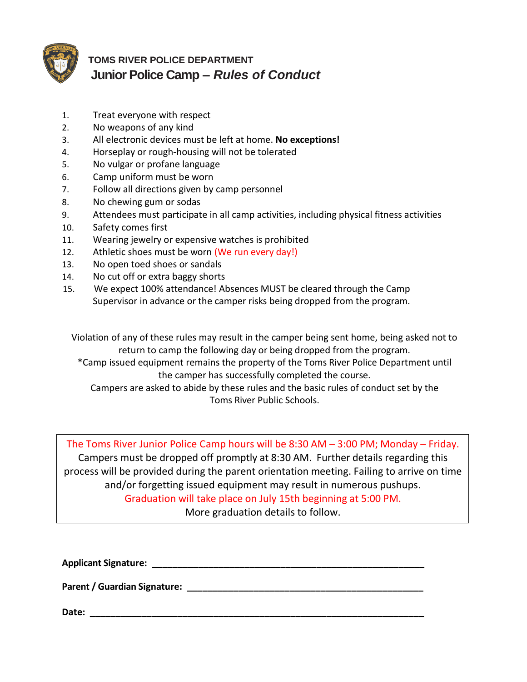

### **TOMS RIVER POLICE DEPARTMENT Junior Police Camp –** *Rules of Conduct*

- 1. Treat everyone with respect
- 2. No weapons of any kind
- 3. All electronic devices must be left at home. **No exceptions!**
- 4. Horseplay or rough-housing will not be tolerated
- 5. No vulgar or profane language
- 6. Camp uniform must be worn
- 7. Follow all directions given by camp personnel
- 8. No chewing gum or sodas
- 9. Attendees must participate in all camp activities, including physical fitness activities
- 10. Safety comes first
- 11. Wearing jewelry or expensive watches is prohibited
- 12. Athletic shoes must be worn (We run every day!)
- 13. No open toed shoes or sandals
- 14. No cut off or extra baggy shorts
- 15. We expect 100% attendance! Absences MUST be cleared through the Camp Supervisor in advance or the camper risks being dropped from the program.

Violation of any of these rules may result in the camper being sent home, being asked not to return to camp the following day or being dropped from the program.

\*Camp issued equipment remains the property of the Toms River Police Department until the camper has successfully completed the course.

Campers are asked to abide by these rules and the basic rules of conduct set by the Toms River Public Schools.

The Toms River Junior Police Camp hours will be 8:30 AM – 3:00 PM; Monday – Friday. Campers must be dropped off promptly at 8:30 AM. Further details regarding this process will be provided during the parent orientation meeting. Failing to arrive on time and/or forgetting issued equipment may result in numerous pushups. Graduation will take place on July 15th beginning at 5:00 PM. More graduation details to follow.

**Applicant Signature: \_\_\_\_\_\_\_\_\_\_\_\_\_\_\_\_\_\_\_\_\_\_\_\_\_\_\_\_\_\_\_\_\_\_\_\_\_\_\_\_\_\_\_\_\_\_\_\_\_\_\_\_\_**

**Parent / Guardian Signature: \_\_\_\_\_\_\_\_\_\_\_\_\_\_\_\_\_\_\_\_\_\_\_\_\_\_\_\_\_\_\_\_\_\_\_\_\_\_\_\_\_\_\_\_\_\_**

**Date: \_\_\_\_\_\_\_\_\_\_\_\_\_\_\_\_\_\_\_\_\_\_\_\_\_\_\_\_\_\_\_\_\_\_\_\_\_\_\_\_\_\_\_\_\_\_\_\_\_\_\_\_\_\_\_\_\_\_\_\_\_\_\_\_\_**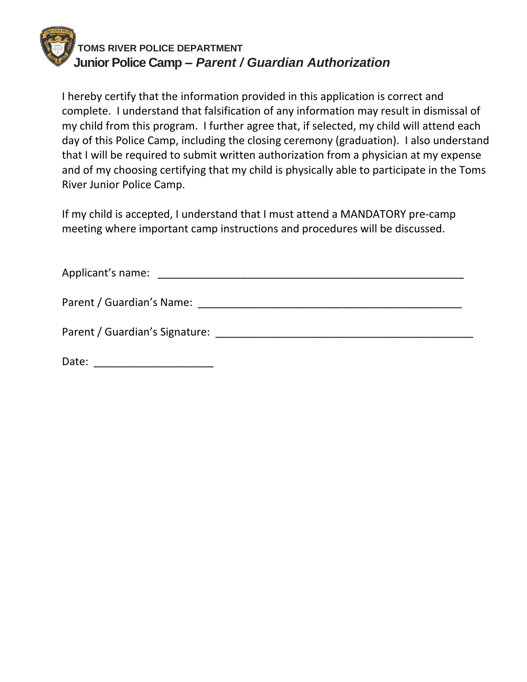

I hereby certify that the information provided in this application is correct and complete. I understand that falsification of any information may result in dismissal of my child from this program. I further agree that, if selected, my child will attend each day of this Police Camp, including the closing ceremony (graduation). I also understand that I will be required to submit written authorization from a physician at my expense and of my choosing certifying that my child is physically able to participate in the Toms River Junior Police Camp.

If my child is accepted, I understand that I must attend a MANDATORY pre-camp meeting where important camp instructions and procedures will be discussed.

| Applicant's name:                                                                                                                                                                                                              |  |  |
|--------------------------------------------------------------------------------------------------------------------------------------------------------------------------------------------------------------------------------|--|--|
| Parent / Guardian's Name:                                                                                                                                                                                                      |  |  |
| Parent / Guardian's Signature: Note that the control of the control of the control of the control of the control of the control of the control of the control of the control of the control of the control of the control of t |  |  |
| Date:                                                                                                                                                                                                                          |  |  |